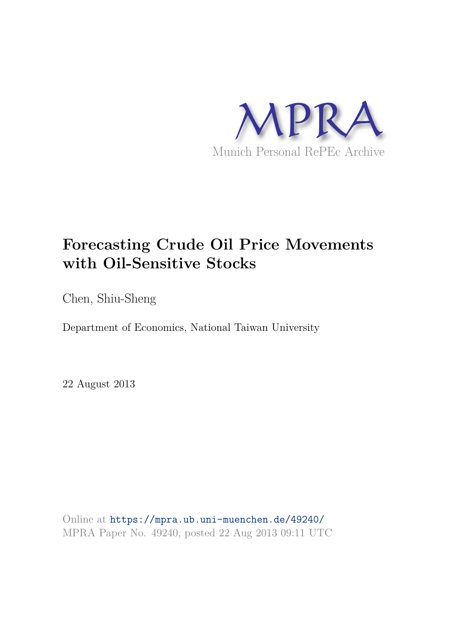

# **Forecasting Crude Oil Price Movements with Oil-Sensitive Stocks**

Chen, Shiu-Sheng

Department of Economics, National Taiwan University

22 August 2013

Online at https://mpra.ub.uni-muenchen.de/49240/ MPRA Paper No. 49240, posted 22 Aug 2013 09:11 UTC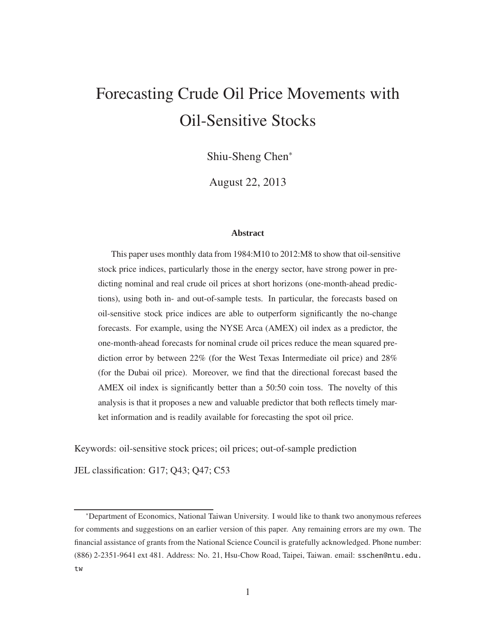# Forecasting Crude Oil Price Movements with Oil-Sensitive Stocks

Shiu-Sheng Chen<sup>∗</sup>

August 22, 2013

#### **Abstract**

This paper uses monthly data from 1984:M10 to 2012:M8 to show that oil-sensitive stock price indices, particularly those in the energy sector, have strong power in predicting nominal and real crude oil prices at short horizons (one-month-ahead predictions), using both in- and out-of-sample tests. In particular, the forecasts based on oil-sensitive stock price indices are able to outperform significantly the no-change forecasts. For example, using the NYSE Arca (AMEX) oil index as a predictor, the one-month-ahead forecasts for nominal crude oil prices reduce the mean squared prediction error by between 22% (for the West Texas Intermediate oil price) and 28% (for the Dubai oil price). Moreover, we find that the directional forecast based the AMEX oil index is significantly better than a 50:50 coin toss. The novelty of this analysis is that it proposes a new and valuable predictor that both reflects timely market information and is readily available for forecasting the spot oil price.

Keywords: oil-sensitive stock prices; oil prices; out-of-sample prediction

JEL classification: G17; Q43; Q47; C53

<sup>∗</sup>Department of Economics, National Taiwan University. I would like to thank two anonymous referees for comments and suggestions on an earlier version of this paper. Any remaining errors are my own. The financial assistance of grants from the National Science Council is gratefully acknowledged. Phone number: (886) 2-2351-9641 ext 481. Address: No. 21, Hsu-Chow Road, Taipei, Taiwan. email: sschen@ntu.edu. tw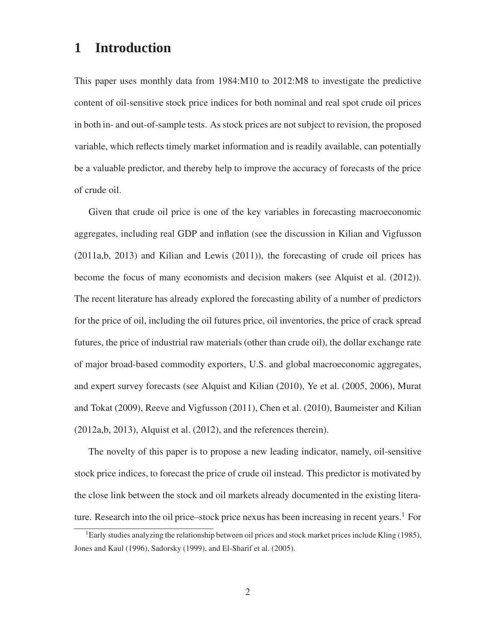## **1 Introduction**

This paper uses monthly data from 1984:M10 to 2012:M8 to investigate the predictive content of oil-sensitive stock price indices for both nominal and real spot crude oil prices in both in- and out-of-sample tests. As stock prices are not subject to revision, the proposed variable, which reflects timely market information and is readily available, can potentially be a valuable predictor, and thereby help to improve the accuracy of forecasts of the price of crude oil.

Given that crude oil price is one of the key variables in forecasting macroeconomic aggregates, including real GDP and inflation (see the discussion in Kilian and Vigfusson (2011a,b, 2013) and Kilian and Lewis (2011)), the forecasting of crude oil prices has become the focus of many economists and decision makers (see Alquist et al. (2012)). The recent literature has already explored the forecasting ability of a number of predictors for the price of oil, including the oil futures price, oil inventories, the price of crack spread futures, the price of industrial raw materials (other than crude oil), the dollar exchange rate of major broad-based commodity exporters, U.S. and global macroeconomic aggregates, and expert survey forecasts (see Alquist and Kilian (2010), Ye et al. (2005, 2006), Murat and Tokat (2009), Reeve and Vigfusson (2011), Chen et al. (2010), Baumeister and Kilian (2012a,b, 2013), Alquist et al. (2012), and the references therein).

The novelty of this paper is to propose a new leading indicator, namely, oil-sensitive stock price indices, to forecast the price of crude oil instead. This predictor is motivated by the close link between the stock and oil markets already documented in the existing literature. Research into the oil price–stock price nexus has been increasing in recent years.<sup>1</sup> For

<sup>&</sup>lt;sup>1</sup>Early studies analyzing the relationship between oil prices and stock market prices include Kling (1985), Jones and Kaul (1996), Sadorsky (1999), and El-Sharif et al. (2005).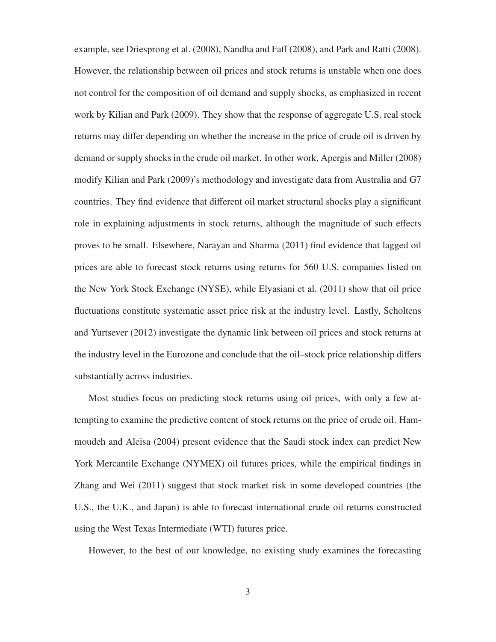example, see Driesprong et al. (2008), Nandha and Faff (2008), and Park and Ratti (2008). However, the relationship between oil prices and stock returns is unstable when one does not control for the composition of oil demand and supply shocks, as emphasized in recent work by Kilian and Park (2009). They show that the response of aggregate U.S. real stock returns may differ depending on whether the increase in the price of crude oil is driven by demand or supply shocks in the crude oil market. In other work, Apergis and Miller (2008) modify Kilian and Park (2009)'s methodology and investigate data from Australia and G7 countries. They find evidence that different oil market structural shocks play a significant role in explaining adjustments in stock returns, although the magnitude of such effects proves to be small. Elsewhere, Narayan and Sharma (2011) find evidence that lagged oil prices are able to forecast stock returns using returns for 560 U.S. companies listed on the New York Stock Exchange (NYSE), while Elyasiani et al. (2011) show that oil price fluctuations constitute systematic asset price risk at the industry level. Lastly, Scholtens and Yurtsever (2012) investigate the dynamic link between oil prices and stock returns at the industry level in the Eurozone and conclude that the oil–stock price relationship differs substantially across industries.

Most studies focus on predicting stock returns using oil prices, with only a few attempting to examine the predictive content of stock returns on the price of crude oil. Hammoudeh and Aleisa (2004) present evidence that the Saudi stock index can predict New York Mercantile Exchange (NYMEX) oil futures prices, while the empirical findings in Zhang and Wei (2011) suggest that stock market risk in some developed countries (the U.S., the U.K., and Japan) is able to forecast international crude oil returns constructed using the West Texas Intermediate (WTI) futures price.

However, to the best of our knowledge, no existing study examines the forecasting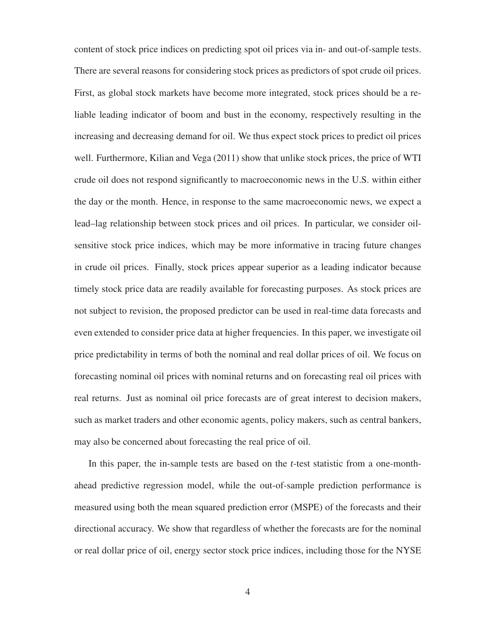content of stock price indices on predicting spot oil prices via in- and out-of-sample tests. There are several reasons for considering stock prices as predictors of spot crude oil prices. First, as global stock markets have become more integrated, stock prices should be a reliable leading indicator of boom and bust in the economy, respectively resulting in the increasing and decreasing demand for oil. We thus expect stock prices to predict oil prices well. Furthermore, Kilian and Vega (2011) show that unlike stock prices, the price of WTI crude oil does not respond significantly to macroeconomic news in the U.S. within either the day or the month. Hence, in response to the same macroeconomic news, we expect a lead–lag relationship between stock prices and oil prices. In particular, we consider oilsensitive stock price indices, which may be more informative in tracing future changes in crude oil prices. Finally, stock prices appear superior as a leading indicator because timely stock price data are readily available for forecasting purposes. As stock prices are not subject to revision, the proposed predictor can be used in real-time data forecasts and even extended to consider price data at higher frequencies. In this paper, we investigate oil price predictability in terms of both the nominal and real dollar prices of oil. We focus on forecasting nominal oil prices with nominal returns and on forecasting real oil prices with real returns. Just as nominal oil price forecasts are of great interest to decision makers, such as market traders and other economic agents, policy makers, such as central bankers, may also be concerned about forecasting the real price of oil.

In this paper, the in-sample tests are based on the *t*-test statistic from a one-monthahead predictive regression model, while the out-of-sample prediction performance is measured using both the mean squared prediction error (MSPE) of the forecasts and their directional accuracy. We show that regardless of whether the forecasts are for the nominal or real dollar price of oil, energy sector stock price indices, including those for the NYSE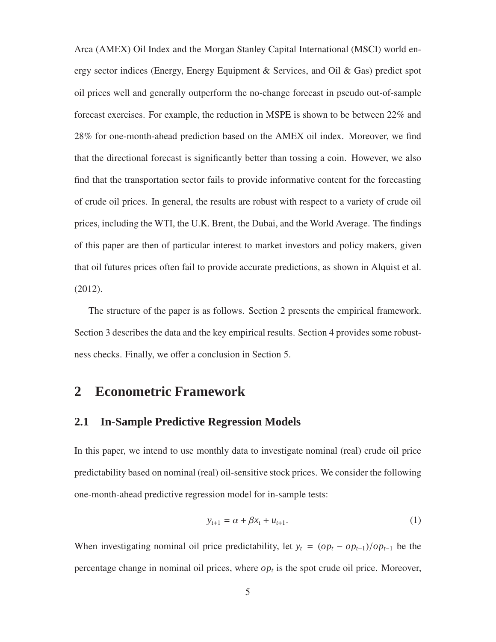Arca (AMEX) Oil Index and the Morgan Stanley Capital International (MSCI) world energy sector indices (Energy, Energy Equipment & Services, and Oil & Gas) predict spot oil prices well and generally outperform the no-change forecast in pseudo out-of-sample forecast exercises. For example, the reduction in MSPE is shown to be between 22% and 28% for one-month-ahead prediction based on the AMEX oil index. Moreover, we find that the directional forecast is significantly better than tossing a coin. However, we also find that the transportation sector fails to provide informative content for the forecasting of crude oil prices. In general, the results are robust with respect to a variety of crude oil prices, including the WTI, the U.K. Brent, the Dubai, and the World Average. The findings of this paper are then of particular interest to market investors and policy makers, given that oil futures prices often fail to provide accurate predictions, as shown in Alquist et al. (2012).

The structure of the paper is as follows. Section 2 presents the empirical framework. Section 3 describes the data and the key empirical results. Section 4 provides some robustness checks. Finally, we offer a conclusion in Section 5.

# **2 Econometric Framework**

## **2.1 In-Sample Predictive Regression Models**

In this paper, we intend to use monthly data to investigate nominal (real) crude oil price predictability based on nominal (real) oil-sensitive stock prices. We consider the following one-month-ahead predictive regression model for in-sample tests:

$$
y_{t+1} = \alpha + \beta x_t + u_{t+1}.
$$
 (1)

When investigating nominal oil price predictability, let  $y_t = (op_t - op_{t-1})/op_{t-1}$  be the percentage change in nominal oil prices, where  $op_t$  is the spot crude oil price. Moreover,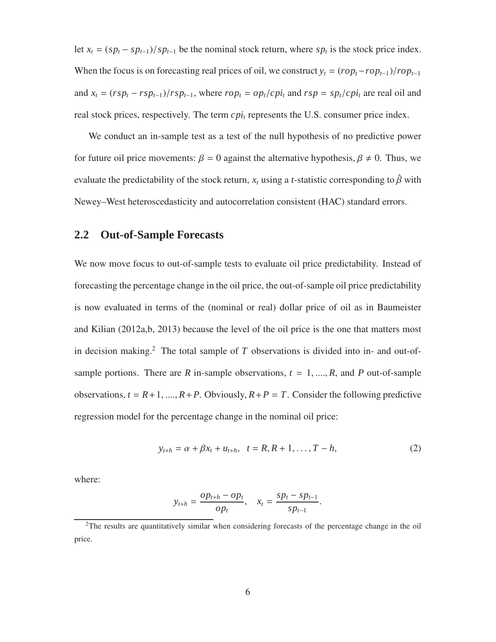let  $x_t = (sp_t - sp_{t-1})/sp_{t-1}$  be the nominal stock return, where  $sp_t$  is the stock price index. When the focus is on forecasting real prices of oil, we construct  $y_t = (rop_t -rop_{t-1})/rop_{t-1}$ and  $x_t = (rsp_t - rsp_{t-1})/rsp_{t-1}$ , where  $rop_t = op_t/cpi_t$  and  $rsp = sp_t/cpi_t$  are real oil and real stock prices, respectively. The term *cpi<sup>t</sup>* represents the U.S. consumer price index.

We conduct an in-sample test as a test of the null hypothesis of no predictive power for future oil price movements:  $\beta = 0$  against the alternative hypothesis,  $\beta \neq 0$ . Thus, we evaluate the predictability of the stock return,  $x_t$  using a *t*-statistic corresponding to  $\hat{\beta}$  with Newey–West heteroscedasticity and autocorrelation consistent (HAC) standard errors.

## **2.2 Out-of-Sample Forecasts**

We now move focus to out-of-sample tests to evaluate oil price predictability. Instead of forecasting the percentage change in the oil price, the out-of-sample oil price predictability is now evaluated in terms of the (nominal or real) dollar price of oil as in Baumeister and Kilian (2012a,b, 2013) because the level of the oil price is the one that matters most in decision making.<sup>2</sup> The total sample of  $T$  observations is divided into in- and out-ofsample portions. There are *R* in-sample observations,  $t = 1, \dots, R$ , and *P* out-of-sample observations,  $t = R+1, ..., R+P$ . Obviously,  $R+P = T$ . Consider the following predictive regression model for the percentage change in the nominal oil price:

$$
y_{t+h} = \alpha + \beta x_t + u_{t+h}, \quad t = R, R+1, \dots, T-h,
$$
 (2)

where:

$$
y_{t+h} = \frac{op_{t+h} - op_t}{op_t}, \quad x_t = \frac{sp_t - sp_{t-1}}{sp_{t-1}}.
$$

<sup>&</sup>lt;sup>2</sup>The results are quantitatively similar when considering forecasts of the percentage change in the oil price.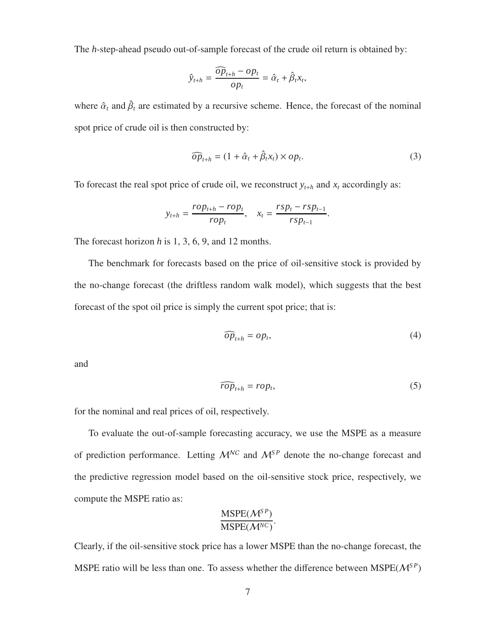The *h*-step-ahead pseudo out-of-sample forecast of the crude oil return is obtained by:

$$
\hat{y}_{t+h} = \frac{\widehat{op}_{t+h} - op_t}{op_t} = \hat{\alpha}_t + \hat{\beta}_t x_t,
$$

where  $\hat{\alpha}_t$  and  $\hat{\beta}_t$  are estimated by a recursive scheme. Hence, the forecast of the nominal spot price of crude oil is then constructed by:

$$
\widehat{op}_{t+h} = (1 + \widehat{\alpha}_t + \widehat{\beta}_t x_t) \times op_t.
$$
\n(3)

To forecast the real spot price of crude oil, we reconstruct  $y_{t+h}$  and  $x_t$  accordingly as:

$$
y_{t+h} = \frac{rop_{t+h} -rop_t}{rop_t}, \quad x_t = \frac{rsp_t - rsp_{t-1}}{rsp_{t-1}}.
$$

The forecast horizon *h* is 1, 3, 6, 9, and 12 months.

The benchmark for forecasts based on the price of oil-sensitive stock is provided by the no-change forecast (the driftless random walk model), which suggests that the best forecast of the spot oil price is simply the current spot price; that is:

$$
\widehat{op}_{t+h} = op_t,\tag{4}
$$

and

$$
\widehat{rop}_{t+h} =rop_t,\tag{5}
$$

for the nominal and real prices of oil, respectively.

To evaluate the out-of-sample forecasting accuracy, we use the MSPE as a measure of prediction performance. Letting  $\mathcal{M}^{\mathcal{NC}}$  and  $\mathcal{M}^{\mathcal{SP}}$  denote the no-change forecast and the predictive regression model based on the oil-sensitive stock price, respectively, we compute the MSPE ratio as:

$$
\frac{\text{MSPE}(\mathcal{M}^{SP})}{\text{MSPE}(\mathcal{M}^{NC})}.
$$

Clearly, if the oil-sensitive stock price has a lower MSPE than the no-change forecast, the MSPE ratio will be less than one. To assess whether the difference between MSPE( $\mathcal{M}^{SP}$ )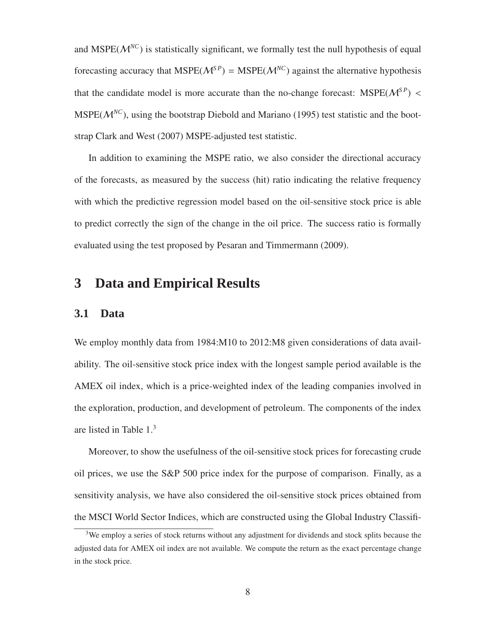and MSPE( $\mathcal{M}^{NC}$ ) is statistically significant, we formally test the null hypothesis of equal forecasting accuracy that  $MSPE(M^{SP}) = MSPE(M^{NC})$  against the alternative hypothesis that the candidate model is more accurate than the no-change forecast:  $MSPE(M^{SP})$  < MSPE( $M^{NC}$ ), using the bootstrap Diebold and Mariano (1995) test statistic and the bootstrap Clark and West (2007) MSPE-adjusted test statistic.

In addition to examining the MSPE ratio, we also consider the directional accuracy of the forecasts, as measured by the success (hit) ratio indicating the relative frequency with which the predictive regression model based on the oil-sensitive stock price is able to predict correctly the sign of the change in the oil price. The success ratio is formally evaluated using the test proposed by Pesaran and Timmermann (2009).

## **3 Data and Empirical Results**

#### **3.1 Data**

We employ monthly data from 1984:M10 to 2012:M8 given considerations of data availability. The oil-sensitive stock price index with the longest sample period available is the AMEX oil index, which is a price-weighted index of the leading companies involved in the exploration, production, and development of petroleum. The components of the index are listed in Table 1.<sup>3</sup>

Moreover, to show the usefulness of the oil-sensitive stock prices for forecasting crude oil prices, we use the S&P 500 price index for the purpose of comparison. Finally, as a sensitivity analysis, we have also considered the oil-sensitive stock prices obtained from the MSCI World Sector Indices, which are constructed using the Global Industry Classifi-

<sup>&</sup>lt;sup>3</sup>We employ a series of stock returns without any adjustment for dividends and stock splits because the adjusted data for AMEX oil index are not available. We compute the return as the exact percentage change in the stock price.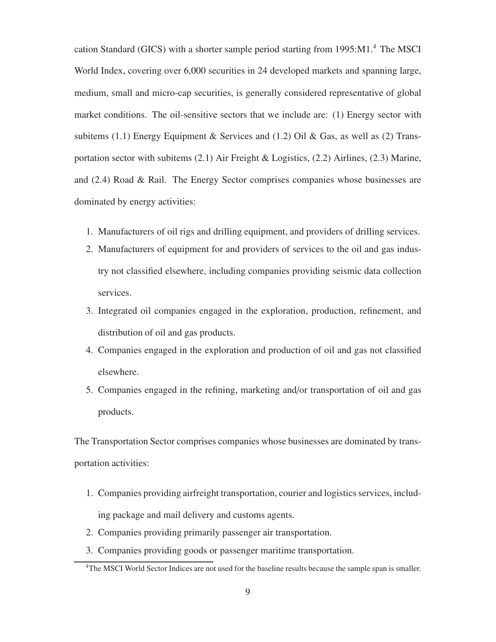cation Standard (GICS) with a shorter sample period starting from 1995:M1.<sup>4</sup> The MSCI World Index, covering over 6,000 securities in 24 developed markets and spanning large, medium, small and micro-cap securities, is generally considered representative of global market conditions. The oil-sensitive sectors that we include are: (1) Energy sector with subitems (1.1) Energy Equipment & Services and (1.2) Oil & Gas, as well as (2) Transportation sector with subitems (2.1) Air Freight & Logistics, (2.2) Airlines, (2.3) Marine, and (2.4) Road & Rail. The Energy Sector comprises companies whose businesses are dominated by energy activities:

- 1. Manufacturers of oil rigs and drilling equipment, and providers of drilling services.
- 2. Manufacturers of equipment for and providers of services to the oil and gas industry not classified elsewhere, including companies providing seismic data collection services.
- 3. Integrated oil companies engaged in the exploration, production, refinement, and distribution of oil and gas products.
- 4. Companies engaged in the exploration and production of oil and gas not classified elsewhere.
- 5. Companies engaged in the refining, marketing and/or transportation of oil and gas products.

The Transportation Sector comprises companies whose businesses are dominated by transportation activities:

- 1. Companies providing airfreight transportation, courier and logistics services, including package and mail delivery and customs agents.
- 2. Companies providing primarily passenger air transportation.
- 3. Companies providing goods or passenger maritime transportation.

<sup>4</sup>The MSCI World Sector Indices are not used for the baseline results because the sample span is smaller.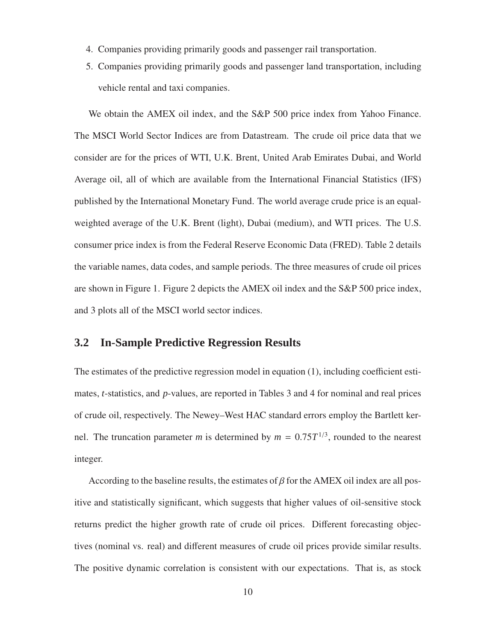- 4. Companies providing primarily goods and passenger rail transportation.
- 5. Companies providing primarily goods and passenger land transportation, including vehicle rental and taxi companies.

We obtain the AMEX oil index, and the S&P 500 price index from Yahoo Finance. The MSCI World Sector Indices are from Datastream. The crude oil price data that we consider are for the prices of WTI, U.K. Brent, United Arab Emirates Dubai, and World Average oil, all of which are available from the International Financial Statistics (IFS) published by the International Monetary Fund. The world average crude price is an equalweighted average of the U.K. Brent (light), Dubai (medium), and WTI prices. The U.S. consumer price index is from the Federal Reserve Economic Data (FRED). Table 2 details the variable names, data codes, and sample periods. The three measures of crude oil prices are shown in Figure 1. Figure 2 depicts the AMEX oil index and the S&P 500 price index, and 3 plots all of the MSCI world sector indices.

#### **3.2 In-Sample Predictive Regression Results**

The estimates of the predictive regression model in equation (1), including coefficient estimates, *t*-statistics, and *p*-values, are reported in Tables 3 and 4 for nominal and real prices of crude oil, respectively. The Newey–West HAC standard errors employ the Bartlett kernel. The truncation parameter *m* is determined by  $m = 0.75T^{1/3}$ , rounded to the nearest integer.

According to the baseline results, the estimates of  $\beta$  for the AMEX oil index are all positive and statistically significant, which suggests that higher values of oil-sensitive stock returns predict the higher growth rate of crude oil prices. Different forecasting objectives (nominal vs. real) and different measures of crude oil prices provide similar results. The positive dynamic correlation is consistent with our expectations. That is, as stock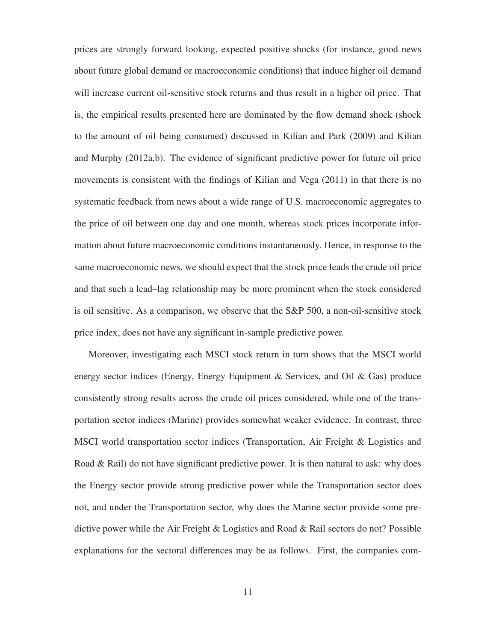prices are strongly forward looking, expected positive shocks (for instance, good news about future global demand or macroeconomic conditions) that induce higher oil demand will increase current oil-sensitive stock returns and thus result in a higher oil price. That is, the empirical results presented here are dominated by the flow demand shock (shock to the amount of oil being consumed) discussed in Kilian and Park (2009) and Kilian and Murphy (2012a,b). The evidence of significant predictive power for future oil price movements is consistent with the findings of Kilian and Vega (2011) in that there is no systematic feedback from news about a wide range of U.S. macroeconomic aggregates to the price of oil between one day and one month, whereas stock prices incorporate information about future macroeconomic conditions instantaneously. Hence, in response to the same macroeconomic news, we should expect that the stock price leads the crude oil price and that such a lead–lag relationship may be more prominent when the stock considered is oil sensitive. As a comparison, we observe that the S&P 500, a non-oil-sensitive stock price index, does not have any significant in-sample predictive power.

Moreover, investigating each MSCI stock return in turn shows that the MSCI world energy sector indices (Energy, Energy Equipment & Services, and Oil & Gas) produce consistently strong results across the crude oil prices considered, while one of the transportation sector indices (Marine) provides somewhat weaker evidence. In contrast, three MSCI world transportation sector indices (Transportation, Air Freight & Logistics and Road & Rail) do not have significant predictive power. It is then natural to ask: why does the Energy sector provide strong predictive power while the Transportation sector does not, and under the Transportation sector, why does the Marine sector provide some predictive power while the Air Freight & Logistics and Road & Rail sectors do not? Possible explanations for the sectoral differences may be as follows. First, the companies com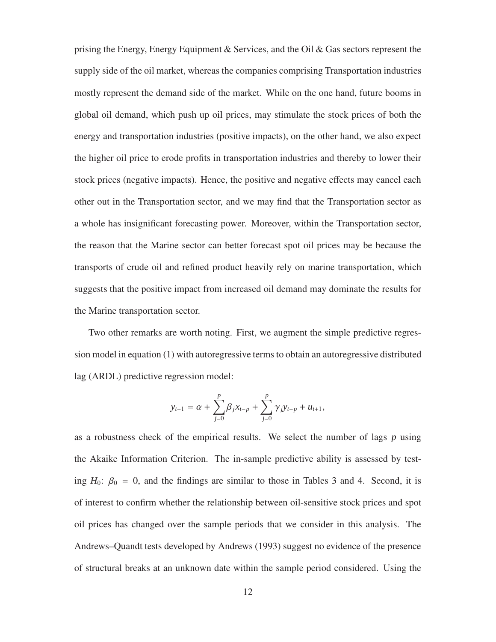prising the Energy, Energy Equipment & Services, and the Oil & Gas sectors represent the supply side of the oil market, whereas the companies comprising Transportation industries mostly represent the demand side of the market. While on the one hand, future booms in global oil demand, which push up oil prices, may stimulate the stock prices of both the energy and transportation industries (positive impacts), on the other hand, we also expect the higher oil price to erode profits in transportation industries and thereby to lower their stock prices (negative impacts). Hence, the positive and negative effects may cancel each other out in the Transportation sector, and we may find that the Transportation sector as a whole has insignificant forecasting power. Moreover, within the Transportation sector, the reason that the Marine sector can better forecast spot oil prices may be because the transports of crude oil and refined product heavily rely on marine transportation, which suggests that the positive impact from increased oil demand may dominate the results for the Marine transportation sector.

Two other remarks are worth noting. First, we augment the simple predictive regression model in equation (1) with autoregressive terms to obtain an autoregressive distributed lag (ARDL) predictive regression model:

$$
y_{t+1} = \alpha + \sum_{j=0}^{p} \beta_j x_{t-p} + \sum_{j=0}^{p} \gamma_j y_{t-p} + u_{t+1},
$$

as a robustness check of the empirical results. We select the number of lags *p* using the Akaike Information Criterion. The in-sample predictive ability is assessed by testing  $H_0$ :  $\beta_0 = 0$ , and the findings are similar to those in Tables 3 and 4. Second, it is of interest to confirm whether the relationship between oil-sensitive stock prices and spot oil prices has changed over the sample periods that we consider in this analysis. The Andrews–Quandt tests developed by Andrews (1993) suggest no evidence of the presence of structural breaks at an unknown date within the sample period considered. Using the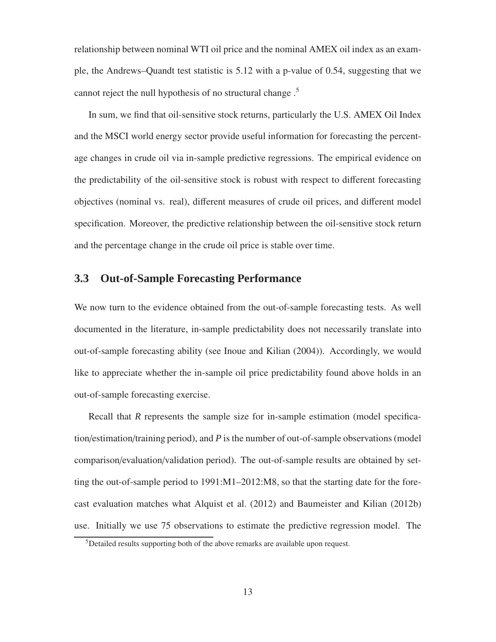relationship between nominal WTI oil price and the nominal AMEX oil index as an example, the Andrews–Quandt test statistic is 5.12 with a p-value of 0.54, suggesting that we cannot reject the null hypothesis of no structural change .<sup>5</sup>

In sum, we find that oil-sensitive stock returns, particularly the U.S. AMEX Oil Index and the MSCI world energy sector provide useful information for forecasting the percentage changes in crude oil via in-sample predictive regressions. The empirical evidence on the predictability of the oil-sensitive stock is robust with respect to different forecasting objectives (nominal vs. real), different measures of crude oil prices, and different model specification. Moreover, the predictive relationship between the oil-sensitive stock return and the percentage change in the crude oil price is stable over time.

## **3.3 Out-of-Sample Forecasting Performance**

We now turn to the evidence obtained from the out-of-sample forecasting tests. As well documented in the literature, in-sample predictability does not necessarily translate into out-of-sample forecasting ability (see Inoue and Kilian (2004)). Accordingly, we would like to appreciate whether the in-sample oil price predictability found above holds in an out-of-sample forecasting exercise.

Recall that *R* represents the sample size for in-sample estimation (model specification/estimation/training period), and *P* is the number of out-of-sample observations (model comparison/evaluation/validation period). The out-of-sample results are obtained by setting the out-of-sample period to 1991:M1–2012:M8, so that the starting date for the forecast evaluation matches what Alquist et al. (2012) and Baumeister and Kilian (2012b) use. Initially we use 75 observations to estimate the predictive regression model. The

<sup>5</sup>Detailed results supporting both of the above remarks are available upon request.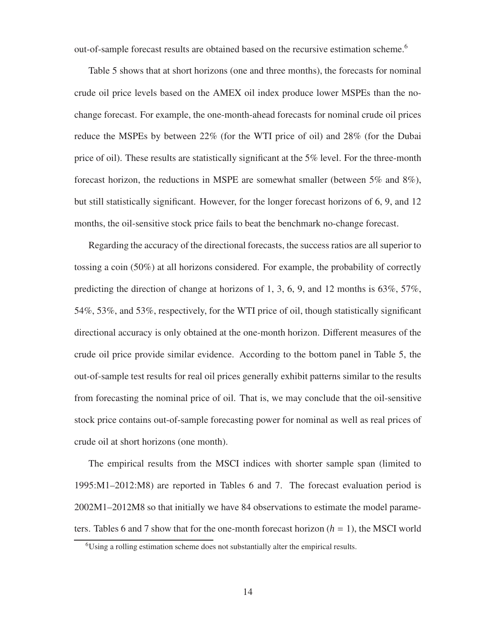out-of-sample forecast results are obtained based on the recursive estimation scheme.<sup>6</sup>

Table 5 shows that at short horizons (one and three months), the forecasts for nominal crude oil price levels based on the AMEX oil index produce lower MSPEs than the nochange forecast. For example, the one-month-ahead forecasts for nominal crude oil prices reduce the MSPEs by between 22% (for the WTI price of oil) and 28% (for the Dubai price of oil). These results are statistically significant at the 5% level. For the three-month forecast horizon, the reductions in MSPE are somewhat smaller (between 5% and 8%), but still statistically significant. However, for the longer forecast horizons of 6, 9, and 12 months, the oil-sensitive stock price fails to beat the benchmark no-change forecast.

Regarding the accuracy of the directional forecasts, the success ratios are all superior to tossing a coin (50%) at all horizons considered. For example, the probability of correctly predicting the direction of change at horizons of 1, 3, 6, 9, and 12 months is  $63\%, 57\%,$ 54%, 53%, and 53%, respectively, for the WTI price of oil, though statistically significant directional accuracy is only obtained at the one-month horizon. Different measures of the crude oil price provide similar evidence. According to the bottom panel in Table 5, the out-of-sample test results for real oil prices generally exhibit patterns similar to the results from forecasting the nominal price of oil. That is, we may conclude that the oil-sensitive stock price contains out-of-sample forecasting power for nominal as well as real prices of crude oil at short horizons (one month).

The empirical results from the MSCI indices with shorter sample span (limited to 1995:M1–2012:M8) are reported in Tables 6 and 7. The forecast evaluation period is 2002M1–2012M8 so that initially we have 84 observations to estimate the model parameters. Tables 6 and 7 show that for the one-month forecast horizon  $(h = 1)$ , the MSCI world

 ${}^{6}$ Using a rolling estimation scheme does not substantially alter the empirical results.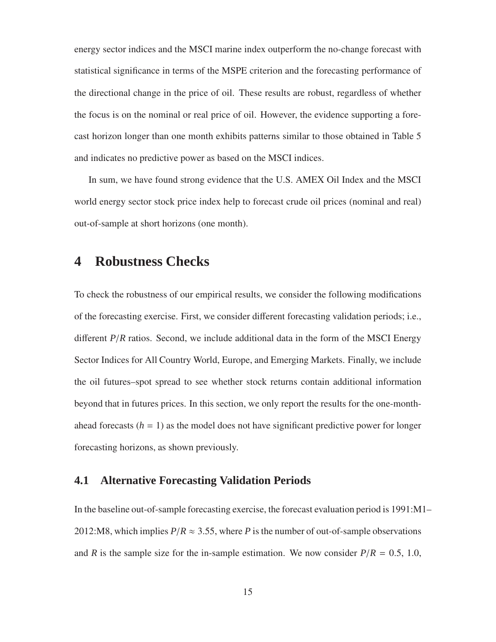energy sector indices and the MSCI marine index outperform the no-change forecast with statistical significance in terms of the MSPE criterion and the forecasting performance of the directional change in the price of oil. These results are robust, regardless of whether the focus is on the nominal or real price of oil. However, the evidence supporting a forecast horizon longer than one month exhibits patterns similar to those obtained in Table 5 and indicates no predictive power as based on the MSCI indices.

In sum, we have found strong evidence that the U.S. AMEX Oil Index and the MSCI world energy sector stock price index help to forecast crude oil prices (nominal and real) out-of-sample at short horizons (one month).

# **4 Robustness Checks**

To check the robustness of our empirical results, we consider the following modifications of the forecasting exercise. First, we consider different forecasting validation periods; i.e., different *P*/*R* ratios. Second, we include additional data in the form of the MSCI Energy Sector Indices for All Country World, Europe, and Emerging Markets. Finally, we include the oil futures–spot spread to see whether stock returns contain additional information beyond that in futures prices. In this section, we only report the results for the one-monthahead forecasts  $(h = 1)$  as the model does not have significant predictive power for longer forecasting horizons, as shown previously.

#### **4.1 Alternative Forecasting Validation Periods**

In the baseline out-of-sample forecasting exercise, the forecast evaluation period is 1991:M1– 2012:M8, which implies  $P/R \approx 3.55$ , where *P* is the number of out-of-sample observations and *R* is the sample size for the in-sample estimation. We now consider  $P/R = 0.5, 1.0$ ,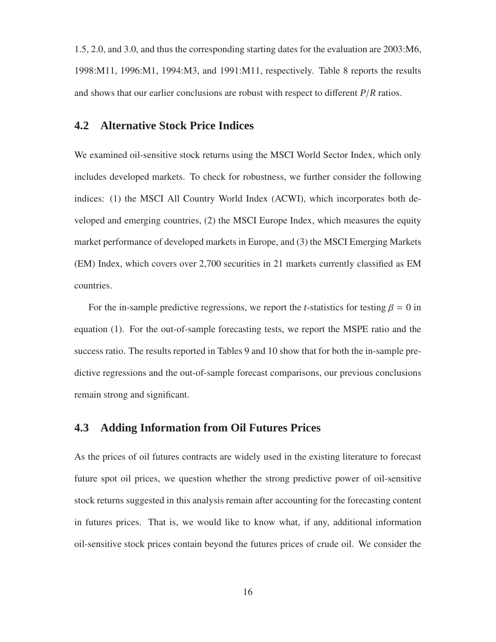1.5, 2.0, and 3.0, and thus the corresponding starting dates for the evaluation are 2003:M6, 1998:M11, 1996:M1, 1994:M3, and 1991:M11, respectively. Table 8 reports the results and shows that our earlier conclusions are robust with respect to different *P*/*R* ratios.

### **4.2 Alternative Stock Price Indices**

We examined oil-sensitive stock returns using the MSCI World Sector Index, which only includes developed markets. To check for robustness, we further consider the following indices: (1) the MSCI All Country World Index (ACWI), which incorporates both developed and emerging countries, (2) the MSCI Europe Index, which measures the equity market performance of developed markets in Europe, and (3) the MSCI Emerging Markets (EM) Index, which covers over 2,700 securities in 21 markets currently classified as EM countries.

For the in-sample predictive regressions, we report the *t*-statistics for testing  $\beta = 0$  in equation (1). For the out-of-sample forecasting tests, we report the MSPE ratio and the success ratio. The results reported in Tables 9 and 10 show that for both the in-sample predictive regressions and the out-of-sample forecast comparisons, our previous conclusions remain strong and significant.

### **4.3 Adding Information from Oil Futures Prices**

As the prices of oil futures contracts are widely used in the existing literature to forecast future spot oil prices, we question whether the strong predictive power of oil-sensitive stock returns suggested in this analysis remain after accounting for the forecasting content in futures prices. That is, we would like to know what, if any, additional information oil-sensitive stock prices contain beyond the futures prices of crude oil. We consider the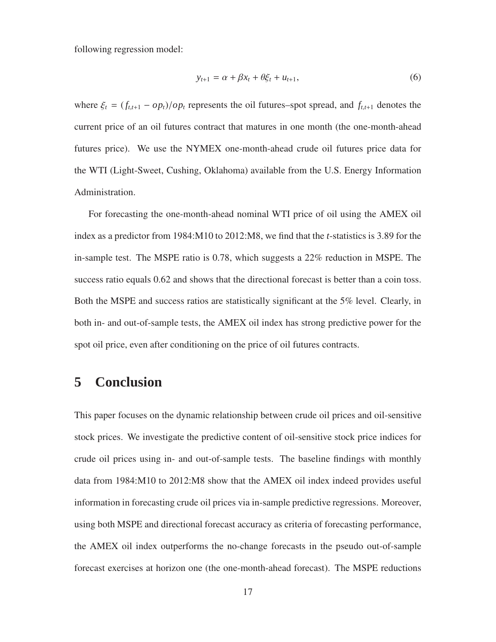following regression model:

$$
y_{t+1} = \alpha + \beta x_t + \theta \xi_t + u_{t+1}, \tag{6}
$$

where  $\xi_t = (f_{t,t+1} - op_t)/op_t$  represents the oil futures–spot spread, and  $f_{t,t+1}$  denotes the current price of an oil futures contract that matures in one month (the one-month-ahead futures price). We use the NYMEX one-month-ahead crude oil futures price data for the WTI (Light-Sweet, Cushing, Oklahoma) available from the U.S. Energy Information Administration.

For forecasting the one-month-ahead nominal WTI price of oil using the AMEX oil index as a predictor from 1984:M10 to 2012:M8, we find that the *t*-statistics is 3.89 for the in-sample test. The MSPE ratio is 0.78, which suggests a 22% reduction in MSPE. The success ratio equals 0.62 and shows that the directional forecast is better than a coin toss. Both the MSPE and success ratios are statistically significant at the 5% level. Clearly, in both in- and out-of-sample tests, the AMEX oil index has strong predictive power for the spot oil price, even after conditioning on the price of oil futures contracts.

# **5 Conclusion**

This paper focuses on the dynamic relationship between crude oil prices and oil-sensitive stock prices. We investigate the predictive content of oil-sensitive stock price indices for crude oil prices using in- and out-of-sample tests. The baseline findings with monthly data from 1984:M10 to 2012:M8 show that the AMEX oil index indeed provides useful information in forecasting crude oil prices via in-sample predictive regressions. Moreover, using both MSPE and directional forecast accuracy as criteria of forecasting performance, the AMEX oil index outperforms the no-change forecasts in the pseudo out-of-sample forecast exercises at horizon one (the one-month-ahead forecast). The MSPE reductions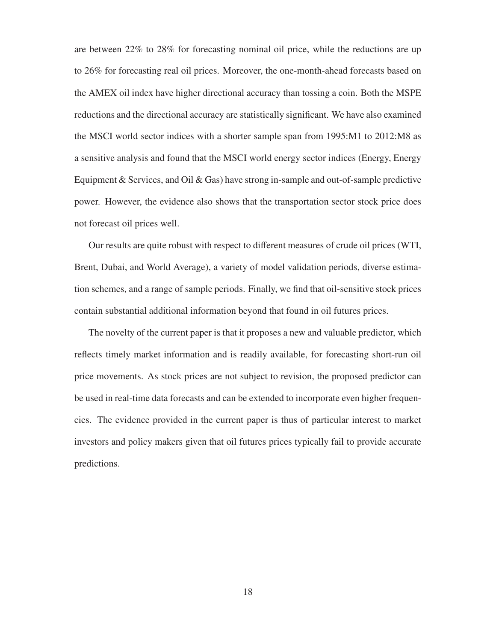are between 22% to 28% for forecasting nominal oil price, while the reductions are up to 26% for forecasting real oil prices. Moreover, the one-month-ahead forecasts based on the AMEX oil index have higher directional accuracy than tossing a coin. Both the MSPE reductions and the directional accuracy are statistically significant. We have also examined the MSCI world sector indices with a shorter sample span from 1995:M1 to 2012:M8 as a sensitive analysis and found that the MSCI world energy sector indices (Energy, Energy Equipment  $&$  Services, and Oil  $&$  Gas) have strong in-sample and out-of-sample predictive power. However, the evidence also shows that the transportation sector stock price does not forecast oil prices well.

Our results are quite robust with respect to different measures of crude oil prices (WTI, Brent, Dubai, and World Average), a variety of model validation periods, diverse estimation schemes, and a range of sample periods. Finally, we find that oil-sensitive stock prices contain substantial additional information beyond that found in oil futures prices.

The novelty of the current paper is that it proposes a new and valuable predictor, which reflects timely market information and is readily available, for forecasting short-run oil price movements. As stock prices are not subject to revision, the proposed predictor can be used in real-time data forecasts and can be extended to incorporate even higher frequencies. The evidence provided in the current paper is thus of particular interest to market investors and policy makers given that oil futures prices typically fail to provide accurate predictions.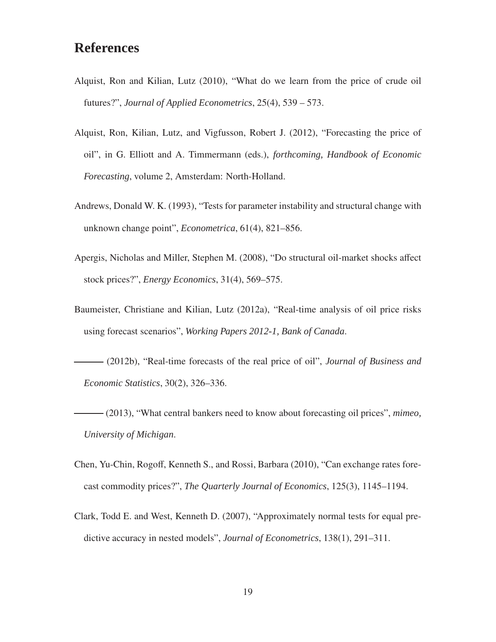# **References**

- Alquist, Ron and Kilian, Lutz (2010), "What do we learn from the price of crude oil futures?", *Journal of Applied Econometrics*, 25(4), 539 – 573.
- Alquist, Ron, Kilian, Lutz, and Vigfusson, Robert J. (2012), "Forecasting the price of oil", in G. Elliott and A. Timmermann (eds.), *forthcoming, Handbook of Economic Forecasting*, volume 2, Amsterdam: North-Holland.
- Andrews, Donald W. K. (1993), "Tests for parameter instability and structural change with unknown change point", *Econometrica*, 61(4), 821–856.
- Apergis, Nicholas and Miller, Stephen M. (2008), "Do structural oil-market shocks affect stock prices?", *Energy Economics*, 31(4), 569–575.
- Baumeister, Christiane and Kilian, Lutz (2012a), "Real-time analysis of oil price risks using forecast scenarios", *Working Papers 2012-1, Bank of Canada*.
- (2012b), "Real-time forecasts of the real price of oil", *Journal of Business and Economic Statistics*, 30(2), 326–336.
- (2013), "What central bankers need to know about forecasting oil prices", *mimeo, University of Michigan*.
- Chen, Yu-Chin, Rogoff, Kenneth S., and Rossi, Barbara (2010), "Can exchange rates forecast commodity prices?", *The Quarterly Journal of Economics*, 125(3), 1145–1194.
- Clark, Todd E. and West, Kenneth D. (2007), "Approximately normal tests for equal predictive accuracy in nested models", *Journal of Econometrics*, 138(1), 291–311.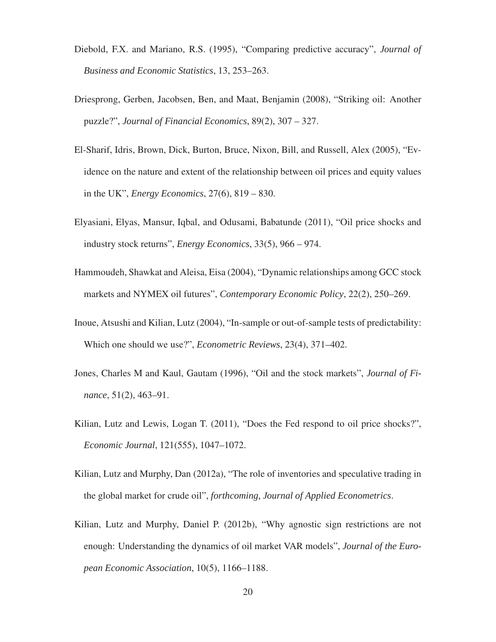- Diebold, F.X. and Mariano, R.S. (1995), "Comparing predictive accuracy", *Journal of Business and Economic Statistics*, 13, 253–263.
- Driesprong, Gerben, Jacobsen, Ben, and Maat, Benjamin (2008), "Striking oil: Another puzzle?", *Journal of Financial Economics*, 89(2), 307 – 327.
- El-Sharif, Idris, Brown, Dick, Burton, Bruce, Nixon, Bill, and Russell, Alex (2005), "Evidence on the nature and extent of the relationship between oil prices and equity values in the UK", *Energy Economics*, 27(6), 819 – 830.
- Elyasiani, Elyas, Mansur, Iqbal, and Odusami, Babatunde (2011), "Oil price shocks and industry stock returns", *Energy Economics*, 33(5), 966 – 974.
- Hammoudeh, Shawkat and Aleisa, Eisa (2004), "Dynamic relationships among GCC stock markets and NYMEX oil futures", *Contemporary Economic Policy*, 22(2), 250–269.
- Inoue, Atsushi and Kilian, Lutz (2004), "In-sample or out-of-sample tests of predictability: Which one should we use?", *Econometric Reviews*, 23(4), 371–402.
- Jones, Charles M and Kaul, Gautam (1996), "Oil and the stock markets", *Journal of Finance*, 51(2), 463–91.
- Kilian, Lutz and Lewis, Logan T. (2011), "Does the Fed respond to oil price shocks?", *Economic Journal*, 121(555), 1047–1072.
- Kilian, Lutz and Murphy, Dan (2012a), "The role of inventories and speculative trading in the global market for crude oil", *forthcoming, Journal of Applied Econometrics*.
- Kilian, Lutz and Murphy, Daniel P. (2012b), "Why agnostic sign restrictions are not enough: Understanding the dynamics of oil market VAR models", *Journal of the European Economic Association*, 10(5), 1166–1188.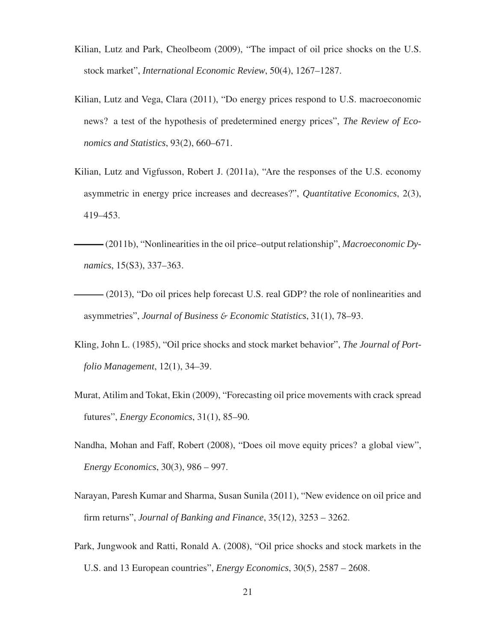- Kilian, Lutz and Park, Cheolbeom (2009), "The impact of oil price shocks on the U.S. stock market", *International Economic Review*, 50(4), 1267–1287.
- Kilian, Lutz and Vega, Clara (2011), "Do energy prices respond to U.S. macroeconomic news? a test of the hypothesis of predetermined energy prices", *The Review of Economics and Statistics*, 93(2), 660–671.
- Kilian, Lutz and Vigfusson, Robert J. (2011a), "Are the responses of the U.S. economy asymmetric in energy price increases and decreases?", *Quantitative Economics*, 2(3), 419–453.
- (2011b), "Nonlinearities in the oil price–output relationship", *Macroeconomic Dynamics*, 15(S3), 337–363.
- (2013), "Do oil prices help forecast U.S. real GDP? the role of nonlinearities and asymmetries", *Journal of Business* & *Economic Statistics*, 31(1), 78–93.
- Kling, John L. (1985), "Oil price shocks and stock market behavior", *The Journal of Portfolio Management*, 12(1), 34–39.
- Murat, Atilim and Tokat, Ekin (2009), "Forecasting oil price movements with crack spread futures", *Energy Economics*, 31(1), 85–90.
- Nandha, Mohan and Faff, Robert (2008), "Does oil move equity prices? a global view", *Energy Economics*, 30(3), 986 – 997.
- Narayan, Paresh Kumar and Sharma, Susan Sunila (2011), "New evidence on oil price and firm returns", *Journal of Banking and Finance*, 35(12), 3253 – 3262.
- Park, Jungwook and Ratti, Ronald A. (2008), "Oil price shocks and stock markets in the U.S. and 13 European countries", *Energy Economics*, 30(5), 2587 – 2608.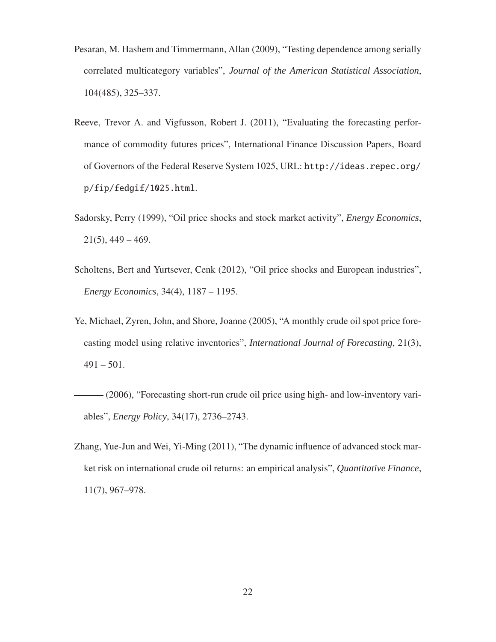- Pesaran, M. Hashem and Timmermann, Allan (2009), "Testing dependence among serially correlated multicategory variables", *Journal of the American Statistical Association*, 104(485), 325–337.
- Reeve, Trevor A. and Vigfusson, Robert J. (2011), "Evaluating the forecasting performance of commodity futures prices", International Finance Discussion Papers, Board of Governors of the Federal Reserve System 1025, URL: http://ideas.repec.org/ p/fip/fedgif/1025.html.
- Sadorsky, Perry (1999), "Oil price shocks and stock market activity", *Energy Economics*,  $21(5)$ , 449 – 469.
- Scholtens, Bert and Yurtsever, Cenk (2012), "Oil price shocks and European industries", *Energy Economics*, 34(4), 1187 – 1195.
- Ye, Michael, Zyren, John, and Shore, Joanne (2005), "A monthly crude oil spot price forecasting model using relative inventories", *International Journal of Forecasting*, 21(3),  $491 - 501$ .
- (2006), "Forecasting short-run crude oil price using high- and low-inventory variables", *Energy Policy*, 34(17), 2736–2743.
- Zhang, Yue-Jun and Wei, Yi-Ming (2011), "The dynamic influence of advanced stock market risk on international crude oil returns: an empirical analysis", *Quantitative Finance*, 11(7), 967–978.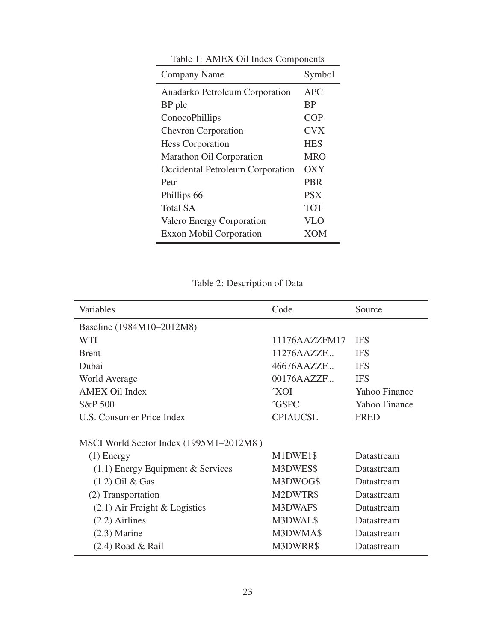| Company Name                     | Symbol     |
|----------------------------------|------------|
| Anadarko Petroleum Corporation   | <b>APC</b> |
| BP plc                           | <b>BP</b>  |
| ConocoPhillips                   | <b>COP</b> |
| <b>Chevron Corporation</b>       | <b>CVX</b> |
| <b>Hess Corporation</b>          | <b>HES</b> |
| Marathon Oil Corporation         | <b>MRO</b> |
| Occidental Petroleum Corporation | OXY        |
| Petr                             | <b>PBR</b> |
| Phillips 66                      | <b>PSX</b> |
| <b>Total SA</b>                  | <b>TOT</b> |
| Valero Energy Corporation        | VLO        |
| <b>Exxon Mobil Corporation</b>   | XOM        |

Table 1: AMEX Oil Index Components

 $\overline{a}$ 

Table 2: Description of Data

| Variables                               | Code            | Source        |
|-----------------------------------------|-----------------|---------------|
| Baseline (1984M10-2012M8)               |                 |               |
| <b>WTI</b>                              | 11176AAZZFM17   | <b>IFS</b>    |
| <b>B</b> rent                           | 11276AAZZF      | <b>IFS</b>    |
| Dubai                                   | 46676AAZZF      | <b>IFS</b>    |
| World Average                           | 00176AAZZF      | <b>IFS</b>    |
| <b>AMEX Oil Index</b>                   | $\gamma$ XOI    | Yahoo Finance |
| S&P 500                                 | <b>^GSPC</b>    | Yahoo Finance |
| U.S. Consumer Price Index               | <b>CPIAUCSL</b> | <b>FRED</b>   |
| MSCI World Sector Index (1995M1-2012M8) |                 |               |
| $(1)$ Energy                            | M1DWE1\$        | Datastream    |
| $(1.1)$ Energy Equipment & Services     | M3DWES\$        | Datastream    |
| $(1.2)$ Oil & Gas                       | M3DWOG\$        | Datastream    |
| (2) Transportation                      | M2DWTR\$        | Datastream    |
| $(2.1)$ Air Freight & Logistics         | M3DWAF\$        | Datastream    |
| $(2.2)$ Airlines                        | M3DWAL\$        | Datastream    |
| $(2.3)$ Marine                          | M3DWMA\$        | Datastream    |
| $(2.4)$ Road & Rail                     | M3DWRR\$        | Datastream    |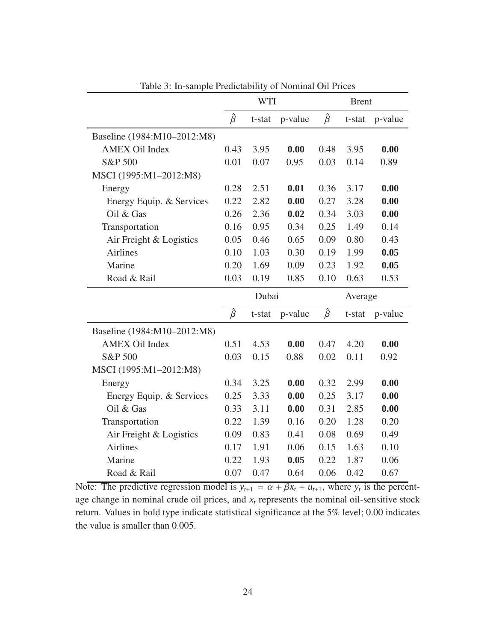|                             |               | <b>WTI</b> |         | <b>Brent</b>  |         |         |  |  |
|-----------------------------|---------------|------------|---------|---------------|---------|---------|--|--|
|                             | $\hat{\beta}$ | t-stat     | p-value | $\hat{\beta}$ | t-stat  | p-value |  |  |
| Baseline (1984:M10-2012:M8) |               |            |         |               |         |         |  |  |
| <b>AMEX Oil Index</b>       | 0.43          | 3.95       | 0.00    | 0.48          | 3.95    | 0.00    |  |  |
| S&P 500                     | 0.01          | 0.07       | 0.95    | 0.03          | 0.14    | 0.89    |  |  |
| MSCI (1995:M1-2012:M8)      |               |            |         |               |         |         |  |  |
| Energy                      | 0.28          | 2.51       | 0.01    | 0.36          | 3.17    | 0.00    |  |  |
| Energy Equip. & Services    | 0.22          | 2.82       | 0.00    | 0.27          | 3.28    | 0.00    |  |  |
| Oil & Gas                   | 0.26          | 2.36       | 0.02    | 0.34          | 3.03    | 0.00    |  |  |
| Transportation              | 0.16          | 0.95       | 0.34    | 0.25          | 1.49    | 0.14    |  |  |
| Air Freight & Logistics     | 0.05          | 0.46       | 0.65    | 0.09          | 0.80    | 0.43    |  |  |
| <b>Airlines</b>             | 0.10          | 1.03       | 0.30    | 0.19          | 1.99    | 0.05    |  |  |
| Marine                      | 0.20          | 1.69       | 0.09    | 0.23          | 1.92    | 0.05    |  |  |
| Road & Rail                 | 0.03          | 0.19       | 0.85    | 0.10          | 0.63    | 0.53    |  |  |
|                             |               | Dubai      |         |               | Average |         |  |  |
|                             | $\hat{\beta}$ | t-stat     | p-value | $\hat{\beta}$ | t-stat  | p-value |  |  |
| Baseline (1984:M10-2012:M8) |               |            |         |               |         |         |  |  |
| <b>AMEX Oil Index</b>       | 0.51          | 4.53       | 0.00    | 0.47          | 4.20    | 0.00    |  |  |
| S&P 500                     | 0.03          | 0.15       | 0.88    | 0.02          | 0.11    | 0.92    |  |  |
| MSCI (1995:M1-2012:M8)      |               |            |         |               |         |         |  |  |
| Energy                      | 0.34          | 3.25       | 0.00    | 0.32          | 2.99    | 0.00    |  |  |
| Energy Equip. & Services    | 0.25          | 3.33       | 0.00    | 0.25          | 3.17    | 0.00    |  |  |
| Oil & Gas                   | 0.33          | 3.11       | 0.00    | 0.31          | 2.85    | 0.00    |  |  |
| Transportation              | 0.22          | 1.39       | 0.16    | 0.20          | 1.28    | 0.20    |  |  |
| Air Freight & Logistics     | 0.09          | 0.83       | 0.41    | 0.08          | 0.69    | 0.49    |  |  |
| <b>Airlines</b>             | 0.17          | 1.91       | 0.06    | 0.15          | 1.63    | 0.10    |  |  |
| Marine                      | 0.22          | 1.93       | 0.05    | 0.22          | 1.87    | 0.06    |  |  |
| Road & Rail                 | 0.07          | 0.47       | 0.64    | 0.06          | 0.42    | 0.67    |  |  |

Table 3: In-sample Predictability of Nominal Oil Prices

Note: The predictive regression model is  $y_{t+1} = \alpha + \beta x_t + u_{t+1}$ , where  $y_t$  is the percentage change in nominal crude oil prices, and *x<sup>t</sup>* represents the nominal oil-sensitive stock return. Values in bold type indicate statistical significance at the 5% level; 0.00 indicates the value is smaller than 0.005.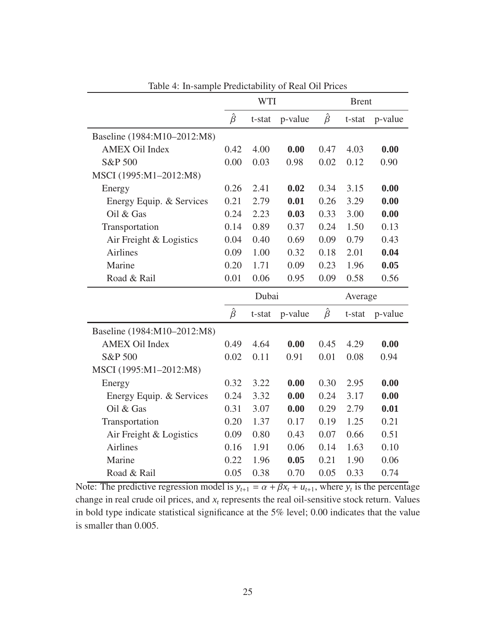|                             |               | <b>WTI</b> |         | <b>Brent</b>  |         |         |  |  |
|-----------------------------|---------------|------------|---------|---------------|---------|---------|--|--|
|                             | $\hat{\beta}$ | t-stat     | p-value | $\hat{\beta}$ | t-stat  | p-value |  |  |
| Baseline (1984:M10-2012:M8) |               |            |         |               |         |         |  |  |
| <b>AMEX Oil Index</b>       | 0.42          | 4.00       | 0.00    | 0.47          | 4.03    | 0.00    |  |  |
| S&P 500                     | 0.00          | 0.03       | 0.98    | 0.02          | 0.12    | 0.90    |  |  |
| MSCI (1995:M1-2012:M8)      |               |            |         |               |         |         |  |  |
| Energy                      | 0.26          | 2.41       | 0.02    | 0.34          | 3.15    | 0.00    |  |  |
| Energy Equip. & Services    | 0.21          | 2.79       | 0.01    | 0.26          | 3.29    | 0.00    |  |  |
| Oil & Gas                   | 0.24          | 2.23       | 0.03    | 0.33          | 3.00    | 0.00    |  |  |
| Transportation              | 0.14          | 0.89       | 0.37    | 0.24          | 1.50    | 0.13    |  |  |
| Air Freight & Logistics     | 0.04          | 0.40       | 0.69    | 0.09          | 0.79    | 0.43    |  |  |
| <b>Airlines</b>             | 0.09          | 1.00       | 0.32    | 0.18          | 2.01    | 0.04    |  |  |
| Marine                      | 0.20          | 1.71       | 0.09    | 0.23          | 1.96    | 0.05    |  |  |
| Road & Rail                 | 0.01          | 0.06       | 0.95    | 0.09          | 0.58    | 0.56    |  |  |
|                             |               | Dubai      |         |               | Average |         |  |  |
|                             | $\hat{\beta}$ | t-stat     | p-value | $\hat{\beta}$ | t-stat  | p-value |  |  |
| Baseline (1984:M10-2012:M8) |               |            |         |               |         |         |  |  |
| <b>AMEX Oil Index</b>       | 0.49          | 4.64       | 0.00    | 0.45          | 4.29    | 0.00    |  |  |
| S&P 500                     | 0.02          | 0.11       | 0.91    | 0.01          | 0.08    | 0.94    |  |  |
| MSCI (1995:M1-2012:M8)      |               |            |         |               |         |         |  |  |
| Energy                      | 0.32          | 3.22       | 0.00    | 0.30          | 2.95    | 0.00    |  |  |
| Energy Equip. & Services    | 0.24          | 3.32       | 0.00    | 0.24          | 3.17    | 0.00    |  |  |
| Oil & Gas                   | 0.31          | 3.07       | 0.00    | 0.29          | 2.79    | 0.01    |  |  |
| Transportation              | 0.20          | 1.37       | 0.17    | 0.19          | 1.25    | 0.21    |  |  |
| Air Freight & Logistics     | 0.09          | 0.80       | 0.43    | 0.07          | 0.66    | 0.51    |  |  |
| <b>Airlines</b>             | 0.16          | 1.91       | 0.06    | 0.14          | 1.63    | 0.10    |  |  |
| Marine                      | 0.22          | 1.96       | 0.05    | 0.21          | 1.90    | 0.06    |  |  |
| Road & Rail                 |               |            |         |               |         |         |  |  |

Table 4: In-sample Predictability of Real Oil Prices

Note: The predictive regression model is  $y_{t+1} = \alpha + \beta x_t + u_{t+1}$ , where  $y_t$  is the percentage change in real crude oil prices, and  $x_t$  represents the real oil-sensitive stock return. Values in bold type indicate statistical significance at the 5% level; 0.00 indicates that the value is smaller than 0.005.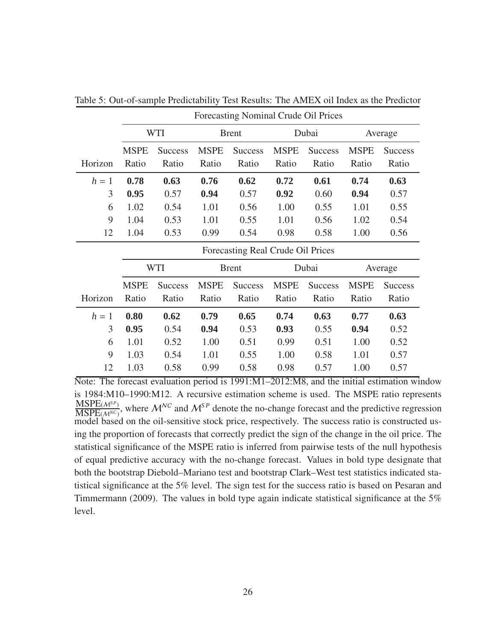|         |                                   | <b>WTI</b>     |             | <b>Brent</b>   |             | Dubai          |             | Average        |  |  |  |  |
|---------|-----------------------------------|----------------|-------------|----------------|-------------|----------------|-------------|----------------|--|--|--|--|
|         | <b>MSPE</b>                       | <b>Success</b> | <b>MSPE</b> | <b>Success</b> | <b>MSPE</b> | <b>Success</b> | <b>MSPE</b> | <b>Success</b> |  |  |  |  |
| Horizon | Ratio                             | Ratio          | Ratio       | Ratio          | Ratio       | Ratio          | Ratio       | Ratio          |  |  |  |  |
| $h=1$   | 0.78                              | 0.63           | 0.76        | 0.62           |             | 0.72<br>0.61   |             | 0.63           |  |  |  |  |
| 3       | 0.95                              | 0.57           | 0.94        | 0.57           | 0.92        | 0.60           | 0.94        | 0.57           |  |  |  |  |
| 6       | 1.02                              | 0.54           | 1.01        | 0.56           | 1.00        | 0.55           | 1.01        | 0.55           |  |  |  |  |
| 9       | 1.04                              | 0.53           | 1.01        | 0.55           | 1.01        | 0.56           | 1.02        | 0.54           |  |  |  |  |
| 12      | 1.04                              | 0.53           | 0.99        | 0.54           | 0.98        | 0.58           | 1.00        | 0.56           |  |  |  |  |
|         | Forecasting Real Crude Oil Prices |                |             |                |             |                |             |                |  |  |  |  |
|         |                                   | WTI            |             | <b>Brent</b>   |             | Dubai          | Average     |                |  |  |  |  |
|         | <b>MSPE</b>                       | <b>Success</b> | <b>MSPE</b> | <b>Success</b> | <b>MSPE</b> | <b>Success</b> | <b>MSPE</b> | <b>Success</b> |  |  |  |  |
| Horizon | Ratio                             | Ratio          | Ratio       | Ratio          | Ratio       | Ratio          | Ratio       | Ratio          |  |  |  |  |
| $h=1$   | 0.80                              | 0.62           | 0.79        | 0.65           | 0.74        | 0.63           | 0.77        | 0.63           |  |  |  |  |
| 3       | 0.95                              | 0.54           | 0.94        | 0.53           | 0.93        | 0.55           | 0.94        | 0.52           |  |  |  |  |
| 6       | 1.01                              | 0.52           | 1.00        | 0.51           | 0.99        | 0.51           | 1.00        | 0.52           |  |  |  |  |
| 9       | 1.03                              | 0.54           | 1.01        | 0.55           | 1.00        | 0.58           | 1.01        | 0.57           |  |  |  |  |
|         |                                   |                |             |                |             |                |             |                |  |  |  |  |

Table 5: Out-of-sample Predictability Test Results: The AMEX oil Index as the Predictor

Forecasting Nominal Crude Oil Prices

Note: The forecast evaluation period is 1991:M1–2012:M8, and the initial estimation window is 1984:M10–1990:M12. A recursive estimation scheme is used. The MSPE ratio represents MSPE(M*S P*)  $\frac{\text{MSPE}(\mathcal{M}^S)}{\text{MSPE}(\mathcal{M}^{NC})}$ , where  $\mathcal{M}^{NC}$  and  $\mathcal{M}^{SP}$  denote the no-change forecast and the predictive regression model based on the oil-sensitive stock price, respectively. The success ratio is constructed using the proportion of forecasts that correctly predict the sign of the change in the oil price. The statistical significance of the MSPE ratio is inferred from pairwise tests of the null hypothesis of equal predictive accuracy with the no-change forecast. Values in bold type designate that both the bootstrap Diebold–Mariano test and bootstrap Clark–West test statistics indicated statistical significance at the 5% level. The sign test for the success ratio is based on Pesaran and Timmermann (2009). The values in bold type again indicate statistical significance at the 5% level.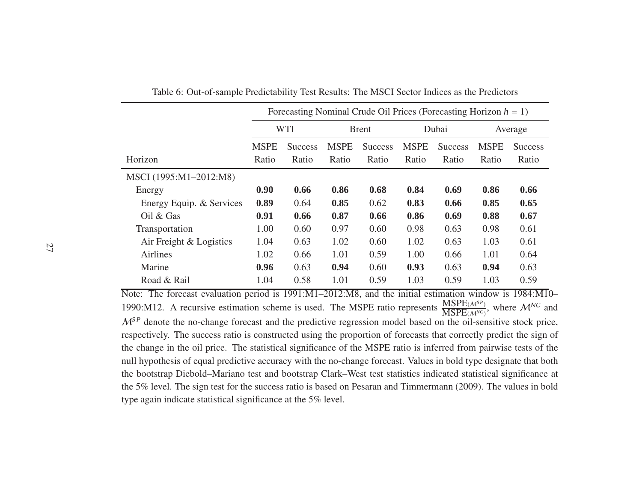|                          |             | Forecasting Nominal Crude Oil Prices (Forecasting Horizon $h = 1$ ) |             |                |             |                |             |                |  |  |  |  |
|--------------------------|-------------|---------------------------------------------------------------------|-------------|----------------|-------------|----------------|-------------|----------------|--|--|--|--|
|                          |             | <b>WTI</b>                                                          |             | <b>Brent</b>   |             | Dubai          |             | Average        |  |  |  |  |
|                          | <b>MSPE</b> | <b>Success</b>                                                      | <b>MSPE</b> | <b>Success</b> | <b>MSPE</b> | <b>Success</b> | <b>MSPE</b> | <b>Success</b> |  |  |  |  |
| Horizon                  | Ratio       | Ratio                                                               | Ratio       | Ratio          | Ratio       | Ratio          | Ratio       | Ratio          |  |  |  |  |
| MSCI (1995:M1-2012:M8)   |             |                                                                     |             |                |             |                |             |                |  |  |  |  |
| Energy                   | 0.90        | 0.66                                                                | 0.86        | 0.68           | 0.84        | 0.69           | 0.86        | 0.66           |  |  |  |  |
| Energy Equip. & Services | 0.89        | 0.64                                                                | 0.85        | 0.62           | 0.83        | 0.66           | 0.85        | 0.65           |  |  |  |  |
| Oil & Gas                | 0.91        | 0.66                                                                | 0.87        | 0.66           | 0.86        | 0.69           | 0.88        | 0.67           |  |  |  |  |
| Transportation           | 1.00        | 0.60                                                                | 0.97        | 0.60           | 0.98        | 0.63           | 0.98        | 0.61           |  |  |  |  |
| Air Freight & Logistics  | 1.04        | 0.63                                                                | 1.02        | 0.60           | 1.02        | 0.63           | 1.03        | 0.61           |  |  |  |  |
| <b>Airlines</b>          | 1.02        | 0.66                                                                | 1.01        | 0.59           | 1.00        | 0.66           | 1.01        | 0.64           |  |  |  |  |
| Marine                   | 0.96        | 0.63                                                                | 0.94        | 0.60           | 0.93        | 0.63           | 0.94        | 0.63           |  |  |  |  |
| Road & Rail              | 1.04        | 0.58                                                                | 1.01        | 0.59           | 1.03        | 0.59           | 1.03        | 0.59           |  |  |  |  |

Table 6: Out-of-sample Predictability Test Results: The MSCI Sector Indices as the Predictors

Note: The forecast evaluation period is 1991:M1–2012:M8, and the initial estimation window is 1984:M10– 1990:M12. A recursive estimation scheme is used. The MSPE ratio represents  $\frac{\text{MSPE}(M^{SP})}{\text{MSPE}(M^{NC})}$ , where  $M^{NC}$  and  $M^{SP}$  denote the no-change forecast and the predictive regression model based on the oil-sensitive stock price, respectively. The success ratio is constructed using the proportion of forecasts that correctly predict the sign of the change in the oil price. The statistical significance of the MSPE ratio is inferred from pairwise tests of the null hypothesis of equal predictive accuracy with the no-change forecast. Values in bold type designate that both the bootstrap Diebold–Mariano test and bootstrap Clark–West test statistics indicated statistical significance at the 5% level. The sign test for the success ratio is based on Pesaran and Timmermann (2009). The values in bold type again indicate statistical significance at the 5% level.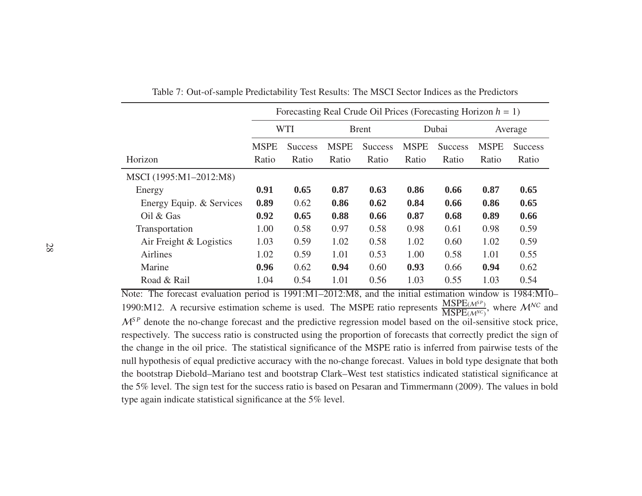|                          |             | Forecasting Real Crude Oil Prices (Forecasting Horizon $h = 1$ ) |             |                |             |                |             |                |  |  |  |  |
|--------------------------|-------------|------------------------------------------------------------------|-------------|----------------|-------------|----------------|-------------|----------------|--|--|--|--|
|                          |             | <b>WTI</b>                                                       |             | <b>Brent</b>   |             | Dubai          |             | Average        |  |  |  |  |
|                          | <b>MSPE</b> | <b>Success</b>                                                   | <b>MSPE</b> | <b>Success</b> | <b>MSPE</b> | <b>Success</b> | <b>MSPE</b> | <b>Success</b> |  |  |  |  |
| Horizon                  | Ratio       | Ratio                                                            | Ratio       | Ratio          | Ratio       | Ratio          | Ratio       | Ratio          |  |  |  |  |
| MSCI (1995:M1-2012:M8)   |             |                                                                  |             |                |             |                |             |                |  |  |  |  |
| Energy                   | 0.91        | 0.65                                                             | 0.87        | 0.63           | 0.86        | 0.66           | 0.87        | 0.65           |  |  |  |  |
| Energy Equip. & Services | 0.89        | 0.62                                                             | 0.86        | 0.62           | 0.84        | 0.66           | 0.86        | 0.65           |  |  |  |  |
| Oil $&$ Gas              | 0.92        | 0.65                                                             | 0.88        | 0.66           | 0.87        | 0.68           | 0.89        | 0.66           |  |  |  |  |
| Transportation           | 1.00        | 0.58                                                             | 0.97        | 0.58           | 0.98        | 0.61           | 0.98        | 0.59           |  |  |  |  |
| Air Freight & Logistics  | 1.03        | 0.59                                                             | 1.02        | 0.58           | 1.02        | 0.60           | 1.02        | 0.59           |  |  |  |  |
| Airlines                 | 1.02        | 0.59                                                             | 1.01        | 0.53           | 1.00        | 0.58           | 1.01        | 0.55           |  |  |  |  |
| Marine                   | 0.96        | 0.62                                                             | 0.94        | 0.60           | 0.93        | 0.66           | 0.94        | 0.62           |  |  |  |  |
| Road & Rail              | 1.04        | 0.54                                                             | 1.01        | 0.56           | 1.03        | 0.55           | 1.03        | 0.54           |  |  |  |  |

Table 7: Out-of-sample Predictability Test Results: The MSCI Sector Indices as the Predictors

Note: The forecast evaluation period is 1991:M1–2012:M8, and the initial estimation window is 1984:M10– 1990:M12. A recursive estimation scheme is used. The MSPE ratio represents  $\frac{\text{MSPE}(M^{SP})}{\text{MSPE}(M^{NC})}$ , where  $M^{NC}$  and  $M^{SP}$  denote the no-change forecast and the predictive regression model based on the oil-sensitive stock price, respectively. The success ratio is constructed using the proportion of forecasts that correctly predict the sign of the change in the oil price. The statistical significance of the MSPE ratio is inferred from pairwise tests of the null hypothesis of equal predictive accuracy with the no-change forecast. Values in bold type designate that both the bootstrap Diebold–Mariano test and bootstrap Clark–West test statistics indicated statistical significance at the 5% level. The sign test for the success ratio is based on Pesaran and Timmermann (2009). The values in bold type again indicate statistical significance at the 5% level.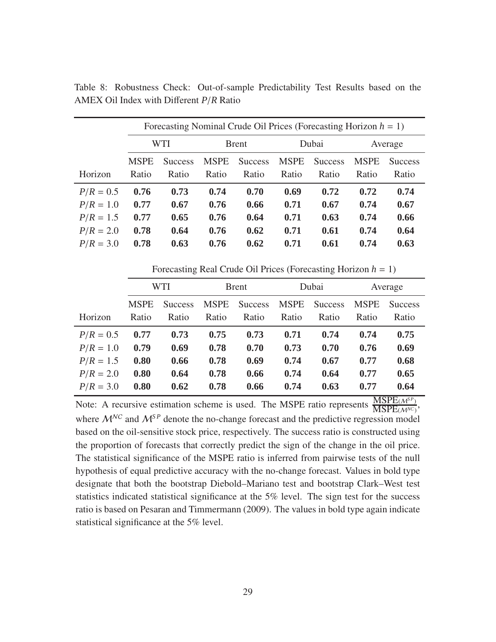|             |             | Forecasting Nominal Crude Oil Prices (Forecasting Horizon $h = 1$ ) |             |                |             |                |             |                |  |  |  |  |  |
|-------------|-------------|---------------------------------------------------------------------|-------------|----------------|-------------|----------------|-------------|----------------|--|--|--|--|--|
|             | WTI         |                                                                     |             | <b>Brent</b>   |             | Dubai          | Average     |                |  |  |  |  |  |
| Horizon     | <b>MSPE</b> | <b>Success</b>                                                      | <b>MSPE</b> | <b>Success</b> | <b>MSPE</b> | <b>Success</b> | <b>MSPE</b> | <b>Success</b> |  |  |  |  |  |
|             | Ratio       | Ratio                                                               | Ratio       | Ratio          | Ratio       | Ratio          | Ratio       | Ratio          |  |  |  |  |  |
| $P/R = 0.5$ | 0.76        | 0.73                                                                | 0.74        | 0.70           | 0.69        | 0.72           | 0.72        | 0.74           |  |  |  |  |  |
| $P/R = 1.0$ | 0.77        | 0.67                                                                | 0.76        | 0.66           | 0.71        | 0.67           | 0.74        | 0.67           |  |  |  |  |  |
| $P/R = 1.5$ | 0.77        | 0.65                                                                | 0.76        | 0.64           | 0.71        | 0.63           | 0.74        | 0.66           |  |  |  |  |  |
| $P/R = 2.0$ | 0.78        | 0.64                                                                | 0.76        | 0.62           | 0.71        | 0.61           | 0.74        | 0.64           |  |  |  |  |  |
| $P/R = 3.0$ | 0.78        | 0.63                                                                | 0.76        | 0.62           | 0.71        | 0.61           | 0.74        | 0.63           |  |  |  |  |  |

Table 8: Robustness Check: Out-of-sample Predictability Test Results based on the AMEX Oil Index with Different *P*/*R* Ratio

Forecasting Real Crude Oil Prices (Forecasting Horizon *h* = 1)

|             | WTI         |                |             | <b>Brent</b>   |             | Dubai          | Average     |                |  |
|-------------|-------------|----------------|-------------|----------------|-------------|----------------|-------------|----------------|--|
|             | <b>MSPE</b> | <b>Success</b> | <b>MSPE</b> | <b>Success</b> | <b>MSPE</b> | <b>Success</b> | <b>MSPE</b> | <b>Success</b> |  |
| Horizon     | Ratio       | Ratio          | Ratio       | Ratio          | Ratio       | Ratio          | Ratio       | Ratio          |  |
| $P/R = 0.5$ | 0.77        | 0.73           | 0.75        | 0.73           | 0.71        | 0.74           | 0.74        | 0.75           |  |
| $P/R = 1.0$ | 0.79        | 0.69           | 0.78        | 0.70           | 0.73        | 0.70           | 0.76        | 0.69           |  |
| $P/R = 1.5$ | 0.80        | 0.66           | 0.78        | 0.69           | 0.74        | 0.67           | 0.77        | 0.68           |  |
| $P/R = 2.0$ | 0.80        | 0.64           | 0.78        | 0.66           | 0.74        | 0.64           | 0.77        | 0.65           |  |
| $P/R = 3.0$ | 0.80        | 0.62           | 0.78        | 0.66           | 0.74        | 0.63           | 0.77        | 0.64           |  |

Note: A recursive estimation scheme is used. The MSPE ratio represents  $\frac{\text{MSPE}(\mathcal{M}^{\text{SP}})}{\text{MSPE}(\mathcal{M}^{\text{NC}})}$ , where  $M^{NC}$  and  $M^{SP}$  denote the no-change forecast and the predictive regression model based on the oil-sensitive stock price, respectively. The success ratio is constructed using the proportion of forecasts that correctly predict the sign of the change in the oil price. The statistical significance of the MSPE ratio is inferred from pairwise tests of the null hypothesis of equal predictive accuracy with the no-change forecast. Values in bold type designate that both the bootstrap Diebold–Mariano test and bootstrap Clark–West test statistics indicated statistical significance at the 5% level. The sign test for the success ratio is based on Pesaran and Timmermann (2009). The values in bold type again indicate statistical significance at the 5% level.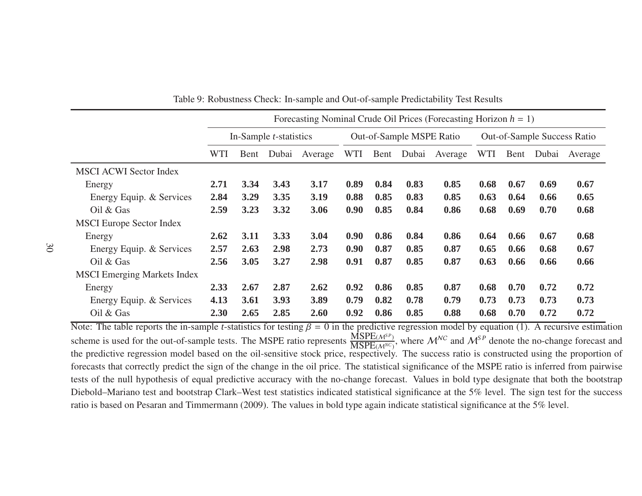|                                    | Forecasting Nominal Crude Oil Prices (Forecasting Horizon $h = 1$ ) |      |       |         |            |      |                          |         |            |                             |       |         |
|------------------------------------|---------------------------------------------------------------------|------|-------|---------|------------|------|--------------------------|---------|------------|-----------------------------|-------|---------|
|                                    | In-Sample <i>t</i> -statistics                                      |      |       |         |            |      | Out-of-Sample MSPE Ratio |         |            | Out-of-Sample Success Ratio |       |         |
|                                    | WTI                                                                 | Bent | Dubai | Average | <b>WTI</b> | Bent | Dubai                    | Average | <b>WTI</b> | Bent                        | Dubai | Average |
| <b>MSCI ACWI Sector Index</b>      |                                                                     |      |       |         |            |      |                          |         |            |                             |       |         |
| Energy                             | 2.71                                                                | 3.34 | 3.43  | 3.17    | 0.89       | 0.84 | 0.83                     | 0.85    | 0.68       | 0.67                        | 0.69  | 0.67    |
| Energy Equip. & Services           | 2.84                                                                | 3.29 | 3.35  | 3.19    | 0.88       | 0.85 | 0.83                     | 0.85    | 0.63       | 0.64                        | 0.66  | 0.65    |
| Oil & Gas                          | 2.59                                                                | 3.23 | 3.32  | 3.06    | 0.90       | 0.85 | 0.84                     | 0.86    | 0.68       | 0.69                        | 0.70  | 0.68    |
| <b>MSCI</b> Europe Sector Index    |                                                                     |      |       |         |            |      |                          |         |            |                             |       |         |
| Energy                             | 2.62                                                                | 3.11 | 3.33  | 3.04    | 0.90       | 0.86 | 0.84                     | 0.86    | 0.64       | 0.66                        | 0.67  | 0.68    |
| Energy Equip. & Services           | 2.57                                                                | 2.63 | 2.98  | 2.73    | 0.90       | 0.87 | 0.85                     | 0.87    | 0.65       | 0.66                        | 0.68  | 0.67    |
| Oil $&$ Gas                        | 2.56                                                                | 3.05 | 3.27  | 2.98    | 0.91       | 0.87 | 0.85                     | 0.87    | 0.63       | 0.66                        | 0.66  | 0.66    |
| <b>MSCI</b> Emerging Markets Index |                                                                     |      |       |         |            |      |                          |         |            |                             |       |         |
| Energy                             | 2.33                                                                | 2.67 | 2.87  | 2.62    | 0.92       | 0.86 | 0.85                     | 0.87    | 0.68       | 0.70                        | 0.72  | 0.72    |
| Energy Equip. & Services           | 4.13                                                                | 3.61 | 3.93  | 3.89    | 0.79       | 0.82 | 0.78                     | 0.79    | 0.73       | 0.73                        | 0.73  | 0.73    |
| Oil & Gas                          | 2.30                                                                | 2.65 | 2.85  | 2.60    | 0.92       | 0.86 | 0.85                     | 0.88    | 0.68       | 0.70                        | 0.72  | 0.72    |

Table 9: Robustness Check: In-sample and Out-of-sample Predictability Test Results

Note: The table reports the in-sample *t*-statistics for testing  $\beta = 0$  in the predictive regression model by equation (1). A recursive estimation scheme is used for the out-of-sample tests. The MSPE ratio represents  $\frac{\text{MSPE}(\mathcal{M}^{SP})}{\text{MSPE}(\mathcal{M}^{NC})}$ , where  $\mathcal{M}^{NC}$  and  $\mathcal{M}^{SP}$  denote the no-change forecast and the predictive regression model based on the oil-sensitive stock price, respectively. The success ratio is constructed using the proportion of forecasts that correctly predict the sign of the change in the oil price. The statistical significance of the MSPE ratio is inferred from pairwise tests of the null hypothesis of equal predictive accuracy with the no-change forecast. Values in bold type designate that both the bootstrap Diebold–Mariano test and bootstrap Clark–West test statistics indicated statistical significance at the 5% level. The sign test for the success ratio is based on Pesaran and Timmermann (2009). The values in bold type again indicate statistical significance at the 5% level.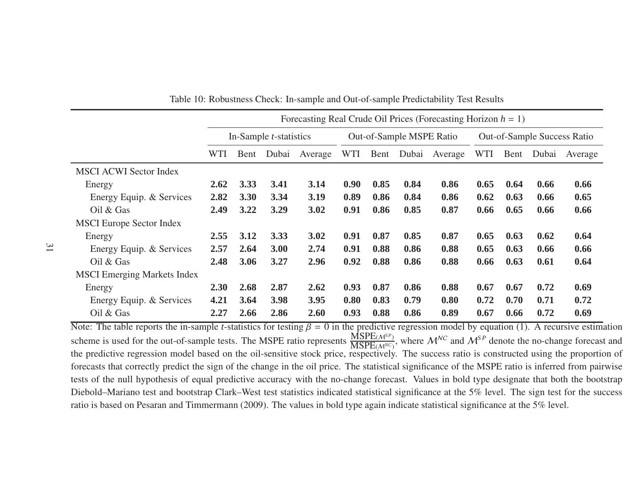|                                    | Forecasting Real Crude Oil Prices (Forecasting Horizon $h = 1$ ) |                                |       |         |      |      |                          |         |      |      |       |                             |
|------------------------------------|------------------------------------------------------------------|--------------------------------|-------|---------|------|------|--------------------------|---------|------|------|-------|-----------------------------|
|                                    |                                                                  | In-Sample <i>t</i> -statistics |       |         |      |      | Out-of-Sample MSPE Ratio |         |      |      |       | Out-of-Sample Success Ratio |
|                                    | WTI                                                              | Bent                           | Dubai | Average | WTI  | Bent | Dubai                    | Average | WTI  | Bent | Dubai | Average                     |
| <b>MSCI ACWI Sector Index</b>      |                                                                  |                                |       |         |      |      |                          |         |      |      |       |                             |
| Energy                             | 2.62                                                             | 3.33                           | 3.41  | 3.14    | 0.90 | 0.85 | 0.84                     | 0.86    | 0.65 | 0.64 | 0.66  | 0.66                        |
| Energy Equip. & Services           | 2.82                                                             | 3.30                           | 3.34  | 3.19    | 0.89 | 0.86 | 0.84                     | 0.86    | 0.62 | 0.63 | 0.66  | 0.65                        |
| Oil $&$ Gas                        | 2.49                                                             | 3.22                           | 3.29  | 3.02    | 0.91 | 0.86 | 0.85                     | 0.87    | 0.66 | 0.65 | 0.66  | 0.66                        |
| <b>MSCI</b> Europe Sector Index    |                                                                  |                                |       |         |      |      |                          |         |      |      |       |                             |
| Energy                             | 2.55                                                             | 3.12                           | 3.33  | 3.02    | 0.91 | 0.87 | 0.85                     | 0.87    | 0.65 | 0.63 | 0.62  | 0.64                        |
| Energy Equip. & Services           | 2.57                                                             | 2.64                           | 3.00  | 2.74    | 0.91 | 0.88 | 0.86                     | 0.88    | 0.65 | 0.63 | 0.66  | 0.66                        |
| Oil $&$ Gas                        | 2.48                                                             | 3.06                           | 3.27  | 2.96    | 0.92 | 0.88 | 0.86                     | 0.88    | 0.66 | 0.63 | 0.61  | 0.64                        |
| <b>MSCI</b> Emerging Markets Index |                                                                  |                                |       |         |      |      |                          |         |      |      |       |                             |
| Energy                             | 2.30                                                             | 2.68                           | 2.87  | 2.62    | 0.93 | 0.87 | 0.86                     | 0.88    | 0.67 | 0.67 | 0.72  | 0.69                        |
| Energy Equip. & Services           | 4.21                                                             | 3.64                           | 3.98  | 3.95    | 0.80 | 0.83 | 0.79                     | 0.80    | 0.72 | 0.70 | 0.71  | 0.72                        |
| Oil & Gas                          | 2.27                                                             | 2.66                           | 2.86  | 2.60    | 0.93 | 0.88 | 0.86                     | 0.89    | 0.67 | 0.66 | 0.72  | 0.69                        |

Table 10: Robustness Check: In-sample and Out-of-sample Predictability Test Results

Note: The table reports the in-sample *t*-statistics for testing  $\beta = 0$  in the predictive regression model by equation (1). A recursive estimation scheme is used for the out-of-sample tests. The MSPE ratio represents  $\frac{\text{MSPE}(\mathcal{M}^{SP})}{\text{MSPE}(\mathcal{M}^{NC})}$ , where  $\mathcal{M}^{NC}$  and  $\mathcal{M}^{SP}$  denote the no-change forecast and the predictive regression model based on the oil-sensitive stock price, respectively. The success ratio is constructed using the proportion of forecasts that correctly predict the sign of the change in the oil price. The statistical significance of the MSPE ratio is inferred from pairwise tests of the null hypothesis of equal predictive accuracy with the no-change forecast. Values in bold type designate that both the bootstrap Diebold–Mariano test and bootstrap Clark–West test statistics indicated statistical significance at the 5% level. The sign test for the success ratio is based on Pesaran and Timmermann (2009). The values in bold type again indicate statistical significance at the 5% level.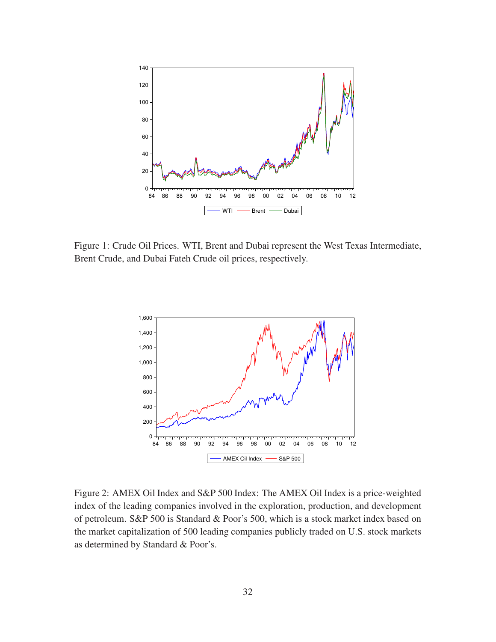

Figure 1: Crude Oil Prices. WTI, Brent and Dubai represent the West Texas Intermediate, Brent Crude, and Dubai Fateh Crude oil prices, respectively.



Figure 2: AMEX Oil Index and S&P 500 Index: The AMEX Oil Index is a price-weighted index of the leading companies involved in the exploration, production, and development of petroleum. S&P 500 is Standard & Poor's 500, which is a stock market index based on the market capitalization of 500 leading companies publicly traded on U.S. stock markets as determined by Standard & Poor's.